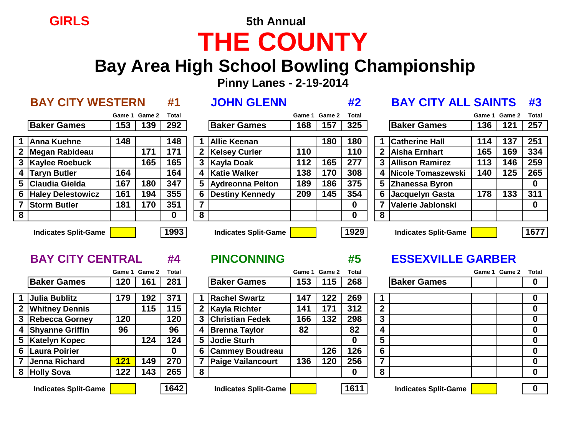# **GIRLS 5th Annual THE COUNTY**

## **Bay Area High School Bowling Championship**

 **Pinny Lanes - 2-19-2014**

|   | <b>BAY CITY WESTERN</b> |        |        | #1       |                | <b>JOHN GLENN</b>      |        |               | #2           |   | <b>BAY CITY ALL SAINTS</b> |        |               | #3           |
|---|-------------------------|--------|--------|----------|----------------|------------------------|--------|---------------|--------------|---|----------------------------|--------|---------------|--------------|
|   |                         | Game 1 | Game 2 | Total    |                |                        | Game 1 | <b>Game 2</b> | <b>Total</b> |   |                            | Game 1 | <b>Game 2</b> | <b>Total</b> |
|   | <b>Baker Games</b>      | 153    | 139    | 292      |                | <b>Baker Games</b>     | 168    | 157           | 325          |   | <b>Baker Games</b>         | 136    | 121           | 257          |
|   | <b>Anna Kuehne</b>      | 148    |        | 148      |                | <b>Allie Keenan</b>    |        | 180           | 180          |   | <b>Catherine Hall</b>      | 114    | 137           | 251          |
|   | 2 Megan Rabideau        |        | 171    | 171      | $\mathbf{2}$   | <b>Kelsey Curler</b>   | 110    |               | 110          |   | 2 Aisha Ernhart            | 165    | 169           | 334          |
|   | 3 Kaylee Roebuck        |        | 165    | 165      |                | 3 Kayla Doak           | 112    | 165           | 277          |   | <b>3 Allison Ramirez</b>   | 113    | 146           | 259          |
|   | 4 Taryn Butler          | 164    |        | 164      | 4              | <b>Katie Walker</b>    | 138    | 170           | 308          |   | 4 Nicole Tomaszewski       | 140    | 125           | 265          |
|   | 5 Claudia Gielda        | 167    | 180    | 347      |                | 5 Aydreonna Pelton     | 189    | 186           | 375          |   | 5 Zhanessa Byron           |        |               | $\mathbf 0$  |
|   | 6 Haley Delestowicz     | 161    | 194    | 355      | 6              | <b>Destiny Kennedy</b> | 209    | 145           | 354          |   | 6 Jacquelyn Gasta          | 178    | 133           | 311          |
|   | 7 Storm Butler          | 181    | 170    | 351      | $\overline{7}$ |                        |        |               | 0            | 7 | Valerie Jablonski          |        |               | $\mathbf 0$  |
| 8 |                         |        |        | $\bf{0}$ | 8              |                        |        |               | $\mathbf{0}$ | 8 |                            |        |               |              |
|   | Indicates Split-Game    |        |        | 1993     |                | Indicates Snlit-Game   |        |               | 1929         |   | Indicates Split-Game       |        |               | 167          |

| <b>BAY CITY WESTERN</b>  |     |               | #1               |   | <b>JOHN GLENN</b>        |        |               | #2                |              | <b>BAY CITY ALL SAINTS</b> |        |        | #3           |
|--------------------------|-----|---------------|------------------|---|--------------------------|--------|---------------|-------------------|--------------|----------------------------|--------|--------|--------------|
|                          |     | Game 1 Game 2 | <b>Total</b>     |   |                          | Game 1 | <b>Game 2</b> | Total             |              |                            | Game 1 | Game 2 | <b>Total</b> |
| <b>Baker Games</b>       | 153 | 139           | 292              |   | <b>Baker Games</b>       | 168    | 157           | 325               |              | <b>Baker Games</b>         | 136    | 121    | 257          |
| Anna Kuehne              | 148 |               | 148              |   | <b>Allie Keenan</b>      |        | 180           | 180               |              | <b>Catherine Hall</b>      | 114    | 137    | 251          |
| Megan Rabideau           |     | 171           | 171              |   | 2   Kelsey Curler        | 110    |               | 110               | $\mathbf{2}$ | Aisha Ernhart              | 165    | 169    | 334          |
| Kaylee Roebuck           |     | 165           | 165              |   | 3 Kayla Doak             | 112    | 165           | 277               | 3            | <b>Allison Ramirez</b>     | 113    | 146    | 259          |
| <b>Taryn Butler</b>      | 164 |               | 164              |   | 4 Katie Walker           | 138    | 170           | 308               | 4            | Nicole Tomaszewski         | 140    | 125    | 265          |
| Claudia Gielda           | 167 | 180           | 347              |   | 5 Aydreonna Pelton       | 189    | 186           | 375               |              | 5 Zhanessa Byron           |        |        | $\bf{0}$     |
| <b>Haley Delestowicz</b> | 161 | 194           | 355              |   | 6 Destiny Kennedy        | 209    | 145           | 354               |              | 6 Jacquelyn Gasta          | 178    | 133    | 311          |
| <b>Storm Butler</b>      | 181 | 170           | 351              |   | $\overline{\phantom{a}}$ |        |               | 0                 | 7            | Valerie Jablonski          |        |        | $\bf{0}$     |
|                          |     |               | $\bf{0}$         | 8 |                          |        |               | <sup>0</sup>      | 8            |                            |        |        |              |
|                          |     |               | <b>Provident</b> |   |                          |        |               | <b>The Second</b> |              |                            |        |        |              |

| <b>BAY UILY ALL SAINTS #5</b> |  |                     |  |  |  |  |  |  |  |
|-------------------------------|--|---------------------|--|--|--|--|--|--|--|
|                               |  | Game 1 Game 2 Total |  |  |  |  |  |  |  |
| <b>Baker Games</b>            |  | 136   121   257     |  |  |  |  |  |  |  |
|                               |  |                     |  |  |  |  |  |  |  |
| <b>Catherine Hall</b>         |  | 114   137   251     |  |  |  |  |  |  |  |

**Indicates Split-Game 1993 Indicates Split-Game 1929 Indicates Split-Game 1677**

|   |                             | Game 1     | <b>Game 2</b> | Total       |   |                             | Game 1 | Game 2 | Total |                |                             | Game 1 | <b>Game 2</b> | Total |
|---|-----------------------------|------------|---------------|-------------|---|-----------------------------|--------|--------|-------|----------------|-----------------------------|--------|---------------|-------|
|   | <b>Baker Games</b>          | 120        | 161           | 281         |   | <b>Baker Games</b>          | 153    | 115    | 268   |                | <b>Baker Games</b>          |        |               |       |
|   |                             |            |               |             |   |                             |        |        |       |                |                             |        |               |       |
|   | <b>Julia Bublitz</b>        | 179        | 192           | 371         |   | <b>Rachel Swartz</b>        | 147    | 122    | 269   |                |                             |        |               | 0     |
|   | 2 Whitney Dennis            |            | 115           | 115         |   | 2 Kayla Richter             | 141    | 171    | 312   | $\overline{2}$ |                             |        |               | 0     |
|   | <b>Rebecca Gorney</b>       | 120        |               | 120         |   | 3 Christian Fedek           | 166    | 132    | 298   | 3              |                             |        |               |       |
|   | 4 Shyanne Griffin           | 96         |               | 96          |   | 4 Brenna Taylor             | 82     |        | 82    | 4              |                             |        |               |       |
|   | 5   Katelyn Kopec           |            | 124           | 124         | 5 | Jodie Sturh                 |        |        | 0     | 5              |                             |        |               | 0     |
|   | 6 Laura Poirier             |            |               | $\mathbf 0$ |   | 6 Cammey Boudreau           |        | 126    | 126   | 6              |                             |        |               | 0     |
|   | Jenna Richard               | <b>121</b> | 149           | 270         |   | <b>Paige Vailancourt</b>    | 136    | 120    | 256   | 7              |                             |        |               |       |
| 8 | <b>Holly Sova</b>           | 122        | 143           | 265         | 8 |                             |        |        | O     | 8              |                             |        |               |       |
|   |                             |            |               |             |   |                             |        |        |       |                |                             |        |               |       |
|   | <b>Indicates Split-Game</b> |            |               | 1642        |   | <b>Indicates Split-Game</b> |        |        | 1611  |                | <b>Indicates Split-Game</b> |        |               |       |

|                        |             | Game 1 Game 2 | <b>Total</b> |   |                      | Game 1 | <b>Game 2</b> | <b>Total</b> |                |                    | Game 1 Game 2 | Total            |
|------------------------|-------------|---------------|--------------|---|----------------------|--------|---------------|--------------|----------------|--------------------|---------------|------------------|
| <b>Baker Games</b>     | 120         | 161           | 281          |   | <b>Baker Games</b>   | 153    | 115           | 268          |                | <b>Baker Games</b> |               | $\bf{0}$         |
| Julia Bublitz          | 179         | 92            | 371          |   | <b>Rachel Swartz</b> | 147    | 122           | 269          |                |                    |               | $\mathbf 0$      |
| <b>Whitney Dennis</b>  |             | 115           | 115          |   | 2 Kayla Richter      | 141    | 171           | 312          | $\mathbf{2}$   |                    |               | $\mathbf 0$      |
| Rebecca Gorney         | 120         |               | 120          |   | 3 Christian Fedek    | 166    | 132           | 298          | 3              |                    |               | $\mathbf 0$      |
| <b>Shyanne Griffin</b> | 96          |               | 96           |   | 4 Brenna Taylor      | 82     |               | 82           |                |                    |               | $\bf{0}$         |
| <b>Katelyn Kopec</b>   |             | 124           | 124          |   | 5 Jodie Sturh        |        |               |              | 5              |                    |               | $\bf{0}$         |
| <b>Laura Poirier</b>   |             |               | $\bf{0}$     |   | 6 Cammey Boudreau    |        | 126           | 126          | 6              |                    |               | $\mathbf 0$      |
| Jenna Richard          | <u> 121</u> | 149           | 270          |   | 7 Paige Vailancourt  | 136    | 120           | 256          | $\overline{ }$ |                    |               | $\mathbf 0$      |
| <b>Holly Sova</b>      | 122         | 143           | 265          | 8 |                      |        |               |              | 8              |                    |               | $\boldsymbol{0}$ |
|                        |             |               |              |   |                      |        |               |              |                |                    |               |                  |

## **BAY CITY CENTRAL #4 PINCONNING #5 ESSEXVILLE GARBER**

| <b>Baker Games</b><br>$\boldsymbol{2}$<br>0<br>$\overline{\mathbf{3}}$<br>0<br>4<br>Π<br>$\overline{\mathbf{5}}$<br>Π<br>$\overline{6}$<br>0<br>$\overline{7}$<br>Π<br>8<br>Λ |  | Game 1 Game 2 Total |  |
|-------------------------------------------------------------------------------------------------------------------------------------------------------------------------------|--|---------------------|--|
|                                                                                                                                                                               |  |                     |  |
|                                                                                                                                                                               |  |                     |  |
|                                                                                                                                                                               |  |                     |  |
|                                                                                                                                                                               |  |                     |  |
|                                                                                                                                                                               |  |                     |  |
|                                                                                                                                                                               |  |                     |  |
|                                                                                                                                                                               |  |                     |  |
|                                                                                                                                                                               |  |                     |  |
|                                                                                                                                                                               |  |                     |  |
|                                                                                                                                                                               |  |                     |  |
|                                                                                                                                                                               |  |                     |  |

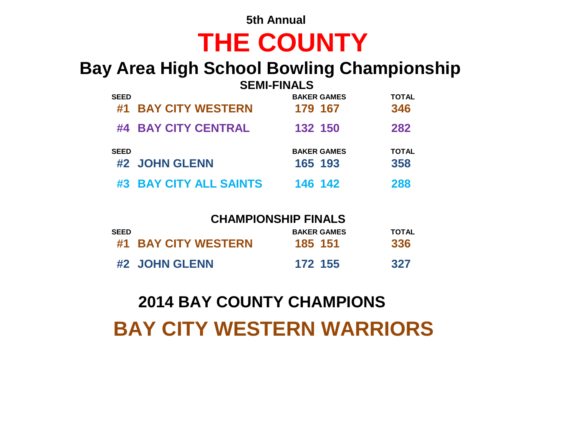## **5th Annual THE COUNTY**

# **Bay Area High School Bowling Championship**

|             |                            | <b>SEMI-FINALS</b> |              |
|-------------|----------------------------|--------------------|--------------|
| <b>SEED</b> |                            | <b>BAKER GAMES</b> | <b>TOTAL</b> |
| #1          | <b>BAY CITY WESTERN</b>    | 179 167            | 346          |
|             | #4 BAY CITY CENTRAL        | 132 150            | 282          |
| <b>SEED</b> |                            | <b>BAKER GAMES</b> | <b>TOTAL</b> |
|             | #2 JOHN GLENN              | 165 193            | 358          |
| #3          | <b>BAY CITY ALL SAINTS</b> | 146 142            | 288          |

### **CHAMPIONSHIP FINALS**

| SEED |                     | <b>BAKER GAMES</b> | TOTAL |
|------|---------------------|--------------------|-------|
|      | #1 BAY CITY WESTERN | 185 151            | 336   |
|      | #2 JOHN GLENN       | 172 155            | 327   |

# **2014 BAY COUNTY CHAMPIONS**

# **BAY CITY WESTERN WARRIORS**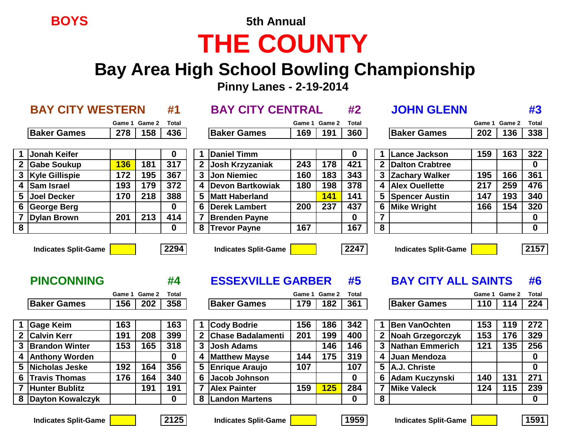# **BOYS 5th Annual THE COUNTY**

# **Bay Area High School Bowling Championship**

 **Pinny Lanes - 2-19-2014**

|                         | <b>BAY CITY WESTERN</b>                          |        |               | #1           |                  | <b>BAY CITY CENTRAL</b>                                 |     |               | #2           |                         | <b>JOHN GLENN</b>                                         |               |     | #3               |
|-------------------------|--------------------------------------------------|--------|---------------|--------------|------------------|---------------------------------------------------------|-----|---------------|--------------|-------------------------|-----------------------------------------------------------|---------------|-----|------------------|
|                         |                                                  |        | Game 1 Game 2 | <b>Total</b> |                  |                                                         |     | Game 1 Game 2 | <b>Total</b> |                         |                                                           | Game 1 Game 2 |     | Total            |
|                         | <b>Baker Games</b>                               | 278    | 158           | 436          |                  | <b>Baker Games</b>                                      | 169 | 191           | 360          |                         | <b>Baker Games</b>                                        | 202           | 136 | 338              |
|                         |                                                  |        |               |              |                  |                                                         |     |               |              |                         |                                                           |               |     |                  |
| 1                       | <b>Jonah Keifer</b>                              |        |               | $\bf{0}$     |                  | <b>Daniel Timm</b>                                      |     |               | 0            |                         | Lance Jackson                                             | 159           | 163 | 322              |
|                         | <b>Gabe Soukup</b>                               | 136    | 181           | 317          | $\boldsymbol{2}$ | Josh Krzyzaniak                                         | 243 | 178           | 421          | $\mathbf{2}$            | Dalton Crabtree                                           |               |     | $\mathbf{0}$     |
| 3                       | <b>Kyle Gillispie</b>                            | 172    | 195           | 367          | 3                | <b>Jon Niemiec</b>                                      | 160 | 183           | 343          |                         | <b>Zachary Walker</b>                                     | 195           | 166 | 361              |
| 4                       | <b>Sam Israel</b>                                | 193    | 179           | 372          | 4                | <b>Devon Bartkowiak</b>                                 | 180 | 198           | 378          |                         | <b>Alex Ouellette</b>                                     | 217           | 259 | 476              |
| 5                       | <b>Joel Decker</b>                               | 170    | 218           | 388          | 5                | <b>Matt Haberland</b>                                   |     | <b>141</b>    | 141          |                         | <b>Spencer Austin</b>                                     | 147           | 193 | 340              |
| $6\phantom{1}6$         | George Berg                                      |        |               | $\bf{0}$     | 6                | <b>Derek Lambert</b>                                    | 200 | 237           | 437          | 6                       | <b>Mike Wright</b>                                        | 166           | 154 | 320              |
|                         | <b>Dylan Brown</b>                               | 201    | 213           | 414          |                  | <b>Brenden Payne</b>                                    |     |               | 0            |                         |                                                           |               |     | $\mathbf 0$      |
| $\overline{\mathbf{8}}$ |                                                  |        |               | 0            | 8                | <b>Trevor Payne</b>                                     | 167 |               | 167          | $\overline{\mathbf{8}}$ |                                                           |               |     | $\mathbf 0$      |
|                         | <b>Indicates Split-Game</b><br><b>PINCONNING</b> |        |               | 2294<br>#4   |                  | <b>Indicates Split-Game</b><br><b>ESSEXVILLE GARBER</b> |     |               | 2247<br>#5   |                         | <b>Indicates Split-Game</b><br><b>BAY CITY ALL SAINTS</b> |               |     | 2157<br>#6       |
|                         |                                                  | Game 1 | Game 2        | <b>Total</b> |                  |                                                         |     | Game 1 Game 2 | Total        |                         |                                                           | Game 1 Game 2 |     | <b>Total</b>     |
|                         | <b>Baker Games</b>                               | 156    | 202           | 358          |                  | <b>Baker Games</b>                                      | 179 | 182           | 361          |                         | <b>Baker Games</b>                                        | 110           | 114 | 224              |
|                         |                                                  |        |               |              |                  |                                                         |     |               |              |                         |                                                           |               |     |                  |
|                         | <b>Gage Keim</b>                                 | 163    |               | 163          |                  | <b>Cody Bodrie</b>                                      | 156 | 186           | 342          |                         | <b>Ben VanOchten</b>                                      | 153           | 119 | $\overline{272}$ |
| $\boldsymbol{2}$        | <b>Calvin Kerr</b>                               | 191    | 208           | 399          | $\mathbf 2$      | <b>Chase Badalamenti</b>                                | 201 | 199           | 400          |                         | Noah Grzegorczyk                                          | 153           | 176 | 329              |
|                         | <b>Brandon Winter</b>                            | 153    | 165           | 318          | 3                | <b>Josh Adams</b>                                       |     | 146           | 146          | 3                       | Nathan Emmerich                                           | 121           | 135 | 256              |
| $\boldsymbol{4}$        | <b>Anthony Worden</b>                            |        |               | $\mathbf 0$  | 4                | <b>Matthew Mayse</b>                                    | 144 | 175           | 319          | 4                       | Juan Mendoza                                              |               |     | $\mathbf{0}$     |
| 5                       | Nicholas Jeske                                   | 192    | 164           | 356          | 5                | <b>Enrique Araujo</b>                                   | 107 |               | 107          |                         | A.J. Christe                                              |               |     | $\mathbf{0}$     |
| 6                       | <b>Travis Thomas</b>                             | 176    | 164           | 340          | 6                | <b>Jacob Johnson</b>                                    |     |               | $\mathbf{0}$ |                         | <b>Adam Kuczynski</b>                                     | 140           | 131 | 271              |
| $\overline{7}$          | <b>Hunter Bublitz</b>                            |        | 191           | 191          |                  | <b>Alex Painter</b>                                     | 159 | 125           | 284          |                         | <b>Mike Valeck</b>                                        | 124           | 115 | 239              |
| 8                       | Dayton Kowalczyk                                 |        |               | $\bf{0}$     | 8                | <b>Landon Martens</b>                                   |     |               | $\mathbf{0}$ | 8                       |                                                           |               |     | $\mathbf{0}$     |

**Indicates Split-Game 2125 Indicates Split-Game 1959 Indicates Split-Game 1591**





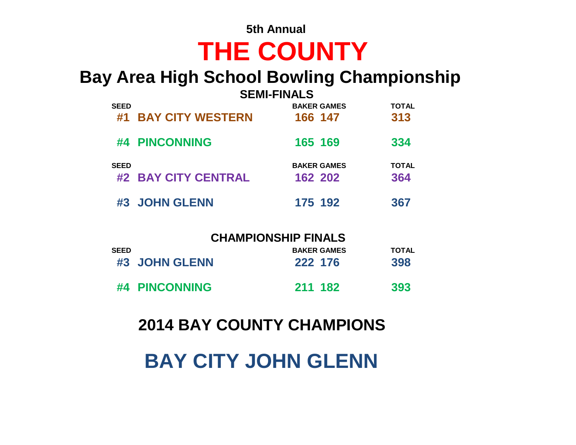# **BAY CITY JOHN GLENN**

## **2014 BAY COUNTY CHAMPIONS**

|      | <b>CHAMPIONSHIP FINALS</b> |                    |       |  |  |  |  |  |  |  |  |
|------|----------------------------|--------------------|-------|--|--|--|--|--|--|--|--|
| SEED |                            | <b>BAKER GAMES</b> | TOTAL |  |  |  |  |  |  |  |  |
|      | #3 JOHN GLENN              | 222 176            | 398   |  |  |  |  |  |  |  |  |
|      | #4 PINCONNING              | 211 182            | 393   |  |  |  |  |  |  |  |  |

|             | #1 BAY CITY WESTERN | 166 147                       | 313                 |
|-------------|---------------------|-------------------------------|---------------------|
|             | #4 PINCONNING       | 165 169                       | 334                 |
| <b>SEED</b> | #2 BAY CITY CENTRAL | <b>BAKER GAMES</b><br>162 202 | <b>TOTAL</b><br>364 |
|             | #3 JOHN GLENN       | 175 192                       | 367                 |

### **Bay Area High School Bowling Championship SEMI-FINALS**

**SEED BAKER GAMES TOTAL**

### **5th Annual**

**THE COUNTY**